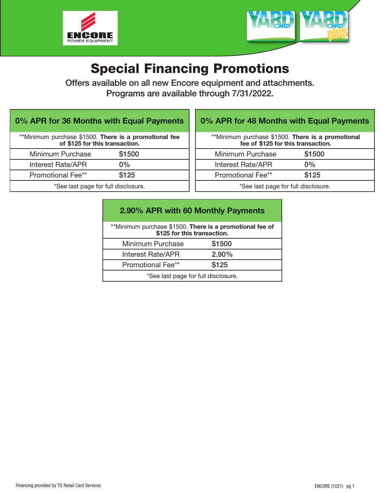



# Special Financing Promotions

Offers available on all new Encore equipment and attachments. Programs are available through 7/31/2022.

| 0% APR for 36 Months with Equal Payments                                                |        |  |
|-----------------------------------------------------------------------------------------|--------|--|
| **Minimum purchase \$1500. There is a promotional fee<br>of \$125 for this transaction. |        |  |
| Minimum Purchase                                                                        | \$1500 |  |
| <b>Interest Rate/APR</b>                                                                | $0\%$  |  |
| <b>Promotional Fee**</b>                                                                | \$125  |  |
| *See last page for full disclosure.                                                     |        |  |

## 0% APR for 48 Months with Equal Payments

| **Minimum purchase \$1500. There is a promotional<br>fee of \$125 for this transaction. |        |  |
|-----------------------------------------------------------------------------------------|--------|--|
| Minimum Purchase                                                                        | \$1500 |  |
| Interest Rate/APR                                                                       | $0\%$  |  |
| <b>Promotional Fee**</b>                                                                | \$125  |  |
| *See last page for full disclosure.                                                     |        |  |

| 2.90% APR with 60 Monthly Payments                                                      |          |  |
|-----------------------------------------------------------------------------------------|----------|--|
| **Minimum purchase \$1500. There is a promotional fee of<br>\$125 for this transaction. |          |  |
| Minimum Purchase                                                                        | \$1500   |  |
| <b>Interest Rate/APR</b>                                                                | $2.90\%$ |  |
| Promotional Fee**                                                                       | \$125    |  |
| *See last page for full disclosure.                                                     |          |  |